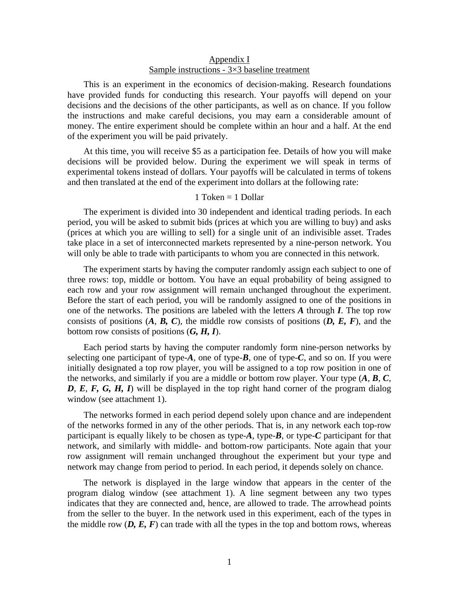# Appendix I Sample instructions - 3×3 baseline treatment

This is an experiment in the economics of decision-making. Research foundations have provided funds for conducting this research. Your payoffs will depend on your decisions and the decisions of the other participants, as well as on chance. If you follow the instructions and make careful decisions, you may earn a considerable amount of money. The entire experiment should be complete within an hour and a half. At the end of the experiment you will be paid privately.

At this time, you will receive \$5 as a participation fee. Details of how you will make decisions will be provided below. During the experiment we will speak in terms of experimental tokens instead of dollars. Your payoffs will be calculated in terms of tokens and then translated at the end of the experiment into dollars at the following rate:

# 1 Token = 1 Dollar

The experiment is divided into 30 independent and identical trading periods. In each period, you will be asked to submit bids (prices at which you are willing to buy) and asks (prices at which you are willing to sell) for a single unit of an indivisible asset. Trades take place in a set of interconnected markets represented by a nine-person network. You will only be able to trade with participants to whom you are connected in this network.

The experiment starts by having the computer randomly assign each subject to one of three rows: top, middle or bottom. You have an equal probability of being assigned to each row and your row assignment will remain unchanged throughout the experiment. Before the start of each period, you will be randomly assigned to one of the positions in one of the networks. The positions are labeled with the letters *A* through *I*. The top row consists of positions  $(A, B, C)$ , the middle row consists of positions  $(D, E, F)$ , and the bottom row consists of positions (*G, H, I*).

Each period starts by having the computer randomly form nine-person networks by selecting one participant of type-*A*, one of type-*B*, one of type-*C*, and so on. If you were initially designated a top row player, you will be assigned to a top row position in one of the networks, and similarly if you are a middle or bottom row player. Your type  $(A, B, C)$ , *D*, *E*, *F, G, H, I*) will be displayed in the top right hand corner of the program dialog window (see attachment 1).

The networks formed in each period depend solely upon chance and are independent of the networks formed in any of the other periods. That is, in any network each top-row participant is equally likely to be chosen as type- $A$ , type- $B$ , or type- $C$  participant for that network, and similarly with middle- and bottom-row participants. Note again that your row assignment will remain unchanged throughout the experiment but your type and network may change from period to period. In each period, it depends solely on chance.

The network is displayed in the large window that appears in the center of the program dialog window (see attachment 1). A line segment between any two types indicates that they are connected and, hence, are allowed to trade. The arrowhead points from the seller to the buyer. In the network used in this experiment, each of the types in the middle row  $(D, E, F)$  can trade with all the types in the top and bottom rows, whereas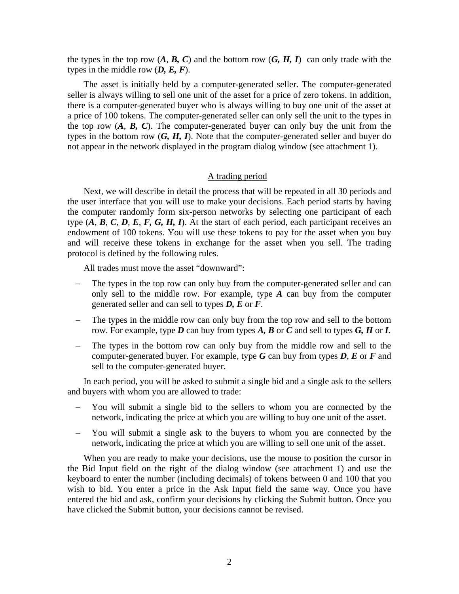the types in the top row  $(A, B, C)$  and the bottom row  $(G, H, I)$  can only trade with the types in the middle row (*D, E, F*).

The asset is initially held by a computer-generated seller. The computer-generated seller is always willing to sell one unit of the asset for a price of zero tokens. In addition, there is a computer-generated buyer who is always willing to buy one unit of the asset at a price of 100 tokens. The computer-generated seller can only sell the unit to the types in the top row  $(A, B, C)$ . The computer-generated buyer can only buy the unit from the types in the bottom row (*G, H, I*). Note that the computer-generated seller and buyer do not appear in the network displayed in the program dialog window (see attachment 1).

# A trading period

Next, we will describe in detail the process that will be repeated in all 30 periods and the user interface that you will use to make your decisions. Each period starts by having the computer randomly form six-person networks by selecting one participant of each type  $(A, B, C, D, E, F, G, H, I)$ . At the start of each period, each participant receives an endowment of 100 tokens. You will use these tokens to pay for the asset when you buy and will receive these tokens in exchange for the asset when you sell. The trading protocol is defined by the following rules.

All trades must move the asset "downward":

- The types in the top row can only buy from the computer-generated seller and can only sell to the middle row. For example, type *A* can buy from the computer generated seller and can sell to types *D, E* or *F*.
- The types in the middle row can only buy from the top row and sell to the bottom row. For example, type *D* can buy from types *A, B* or *C* and sell to types *G, H* or *I*.
- The types in the bottom row can only buy from the middle row and sell to the computer-generated buyer. For example, type *G* can buy from types *D*, *E* or *F* and sell to the computer-generated buyer.

In each period, you will be asked to submit a single bid and a single ask to the sellers and buyers with whom you are allowed to trade:

- You will submit a single bid to the sellers to whom you are connected by the network, indicating the price at which you are willing to buy one unit of the asset.
- − You will submit a single ask to the buyers to whom you are connected by the network, indicating the price at which you are willing to sell one unit of the asset.

When you are ready to make your decisions, use the mouse to position the cursor in the Bid Input field on the right of the dialog window (see attachment 1) and use the keyboard to enter the number (including decimals) of tokens between 0 and 100 that you wish to bid. You enter a price in the Ask Input field the same way. Once you have entered the bid and ask, confirm your decisions by clicking the Submit button. Once you have clicked the Submit button, your decisions cannot be revised.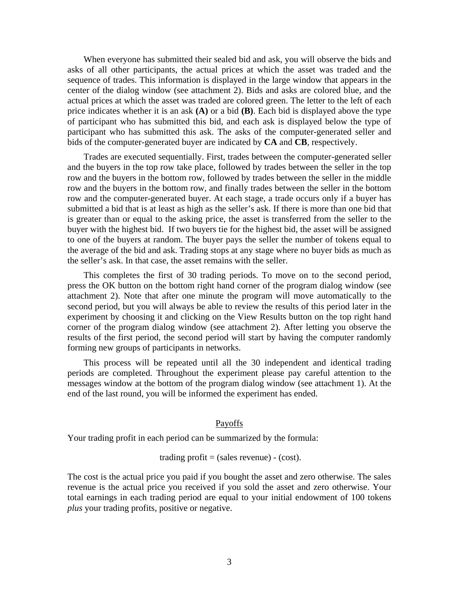When everyone has submitted their sealed bid and ask, you will observe the bids and asks of all other participants, the actual prices at which the asset was traded and the sequence of trades. This information is displayed in the large window that appears in the center of the dialog window (see attachment 2). Bids and asks are colored blue, and the actual prices at which the asset was traded are colored green. The letter to the left of each price indicates whether it is an ask **(A)** or a bid **(B)**. Each bid is displayed above the type of participant who has submitted this bid, and each ask is displayed below the type of participant who has submitted this ask. The asks of the computer-generated seller and bids of the computer-generated buyer are indicated by **CA** and **CB**, respectively.

Trades are executed sequentially. First, trades between the computer-generated seller and the buyers in the top row take place, followed by trades between the seller in the top row and the buyers in the bottom row, followed by trades between the seller in the middle row and the buyers in the bottom row, and finally trades between the seller in the bottom row and the computer-generated buyer. At each stage, a trade occurs only if a buyer has submitted a bid that is at least as high as the seller's ask. If there is more than one bid that is greater than or equal to the asking price, the asset is transferred from the seller to the buyer with the highest bid. If two buyers tie for the highest bid, the asset will be assigned to one of the buyers at random. The buyer pays the seller the number of tokens equal to the average of the bid and ask. Trading stops at any stage where no buyer bids as much as the seller's ask. In that case, the asset remains with the seller.

This completes the first of 30 trading periods. To move on to the second period, press the OK button on the bottom right hand corner of the program dialog window (see attachment 2). Note that after one minute the program will move automatically to the second period, but you will always be able to review the results of this period later in the experiment by choosing it and clicking on the View Results button on the top right hand corner of the program dialog window (see attachment 2). After letting you observe the results of the first period, the second period will start by having the computer randomly forming new groups of participants in networks.

This process will be repeated until all the 30 independent and identical trading periods are completed. Throughout the experiment please pay careful attention to the messages window at the bottom of the program dialog window (see attachment 1). At the end of the last round, you will be informed the experiment has ended.

#### Payoffs

Your trading profit in each period can be summarized by the formula:

### trading profit =  $(sales revenue) - (cost)$ .

The cost is the actual price you paid if you bought the asset and zero otherwise. The sales revenue is the actual price you received if you sold the asset and zero otherwise. Your total earnings in each trading period are equal to your initial endowment of 100 tokens *plus* your trading profits, positive or negative.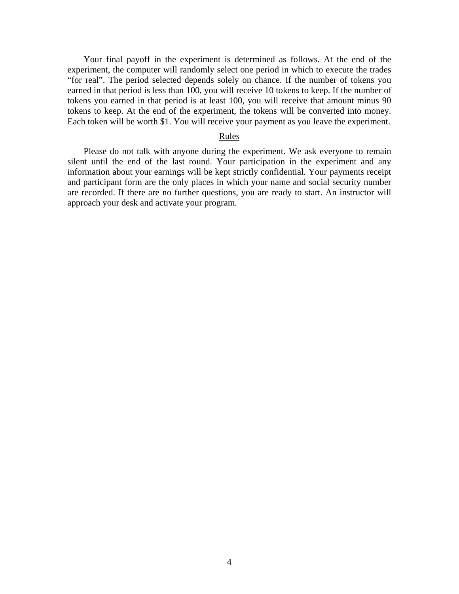Your final payoff in the experiment is determined as follows. At the end of the experiment, the computer will randomly select one period in which to execute the trades "for real". The period selected depends solely on chance. If the number of tokens you earned in that period is less than 100, you will receive 10 tokens to keep. If the number of tokens you earned in that period is at least 100, you will receive that amount minus 90 tokens to keep. At the end of the experiment, the tokens will be converted into money. Each token will be worth \$1. You will receive your payment as you leave the experiment.

# Rules

Please do not talk with anyone during the experiment. We ask everyone to remain silent until the end of the last round. Your participation in the experiment and any information about your earnings will be kept strictly confidential. Your payments receipt and participant form are the only places in which your name and social security number are recorded. If there are no further questions, you are ready to start. An instructor will approach your desk and activate your program.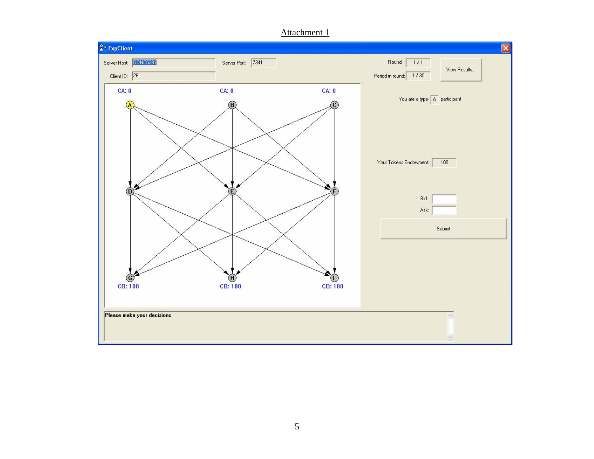